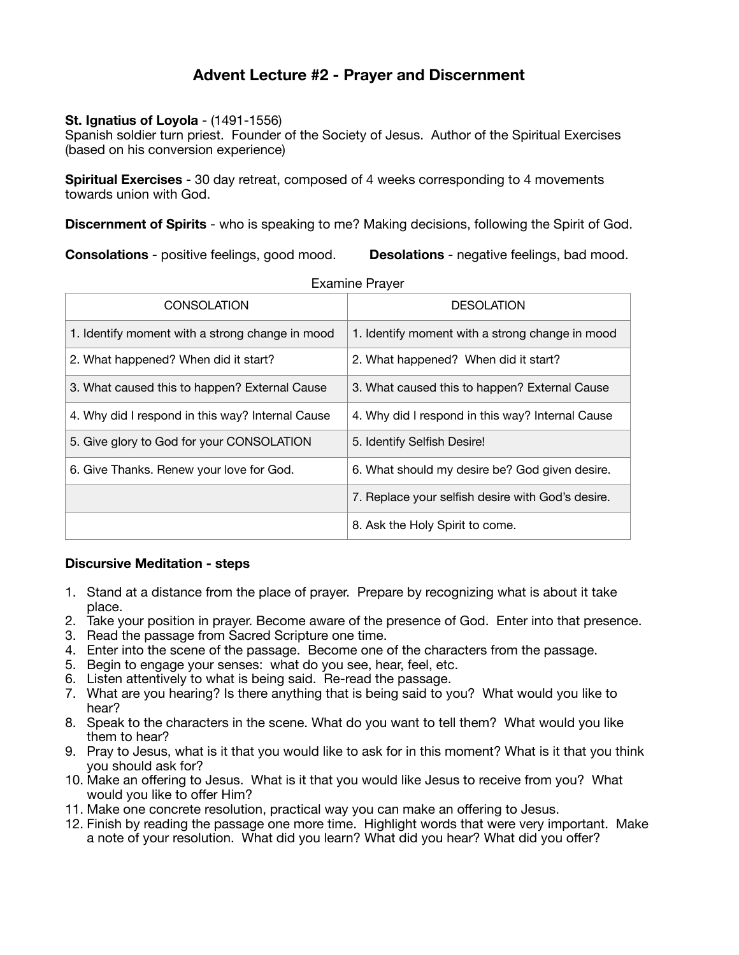## **Advent Lecture #2 - Prayer and Discernment**

## **St. Ignatius of Loyola - (1491-1556)**

Spanish soldier turn priest. Founder of the Society of Jesus. Author of the Spiritual Exercises (based on his conversion experience)

**Spiritual Exercises** - 30 day retreat, composed of 4 weeks corresponding to 4 movements towards union with God.

**Discernment of Spirits** - who is speaking to me? Making decisions, following the Spirit of God.

**Consolations** - positive feelings, good mood. **Desolations** - negative feelings, bad mood.

| LAUITTIU TIUTU                                    |  |
|---------------------------------------------------|--|
| <b>DESOLATION</b>                                 |  |
| 1. Identify moment with a strong change in mood   |  |
| 2. What happened? When did it start?              |  |
| 3. What caused this to happen? External Cause     |  |
| 4. Why did I respond in this way? Internal Cause  |  |
| 5. Identify Selfish Desire!                       |  |
| 6. What should my desire be? God given desire.    |  |
| 7. Replace your selfish desire with God's desire. |  |
| 8. Ask the Holy Spirit to come.                   |  |
|                                                   |  |

Examine Prayer

## **Discursive Meditation - steps**

- 1. Stand at a distance from the place of prayer. Prepare by recognizing what is about it take place.
- 2. Take your position in prayer. Become aware of the presence of God. Enter into that presence.
- 3. Read the passage from Sacred Scripture one time.
- 4. Enter into the scene of the passage. Become one of the characters from the passage.
- 5. Begin to engage your senses: what do you see, hear, feel, etc.
- 6. Listen attentively to what is being said. Re-read the passage.
- 7. What are you hearing? Is there anything that is being said to you? What would you like to hear?
- 8. Speak to the characters in the scene. What do you want to tell them? What would you like them to hear?
- 9. Pray to Jesus, what is it that you would like to ask for in this moment? What is it that you think you should ask for?
- 10. Make an offering to Jesus. What is it that you would like Jesus to receive from you? What would you like to offer Him?
- 11. Make one concrete resolution, practical way you can make an offering to Jesus.
- 12. Finish by reading the passage one more time. Highlight words that were very important. Make a note of your resolution. What did you learn? What did you hear? What did you offer?